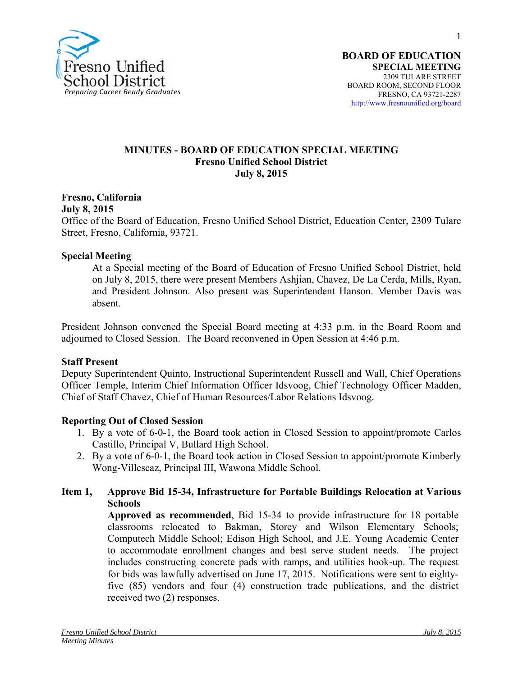

1

**SPECIAL MEETING** 2309 TULARE STREET BOARD ROOM, SECOND FLOOR FRESNO, CA 93721-2287 http://www.fresnounified.org/board

#### **MINUTES - BOARD OF EDUCATION SPECIAL MEETING Fresno Unified School District July 8, 2015**

## **Fresno, California**

**July 8, 2015** 

Office of the Board of Education, Fresno Unified School District, Education Center, 2309 Tulare Street, Fresno, California, 93721.

#### **Special Meeting**

At a Special meeting of the Board of Education of Fresno Unified School District, held on July 8, 2015, there were present Members Ashjian, Chavez, De La Cerda, Mills, Ryan, and President Johnson. Also present was Superintendent Hanson. Member Davis was absent.

President Johnson convened the Special Board meeting at 4:33 p.m. in the Board Room and adjourned to Closed Session. The Board reconvened in Open Session at 4:46 p.m.

#### **Staff Present**

Deputy Superintendent Quinto, Instructional Superintendent Russell and Wall, Chief Operations Officer Temple, Interim Chief Information Officer Idsvoog, Chief Technology Officer Madden, Chief of Staff Chavez, Chief of Human Resources/Labor Relations Idsvoog.

#### **Reporting Out of Closed Session**

- 1. By a vote of 6-0-1, the Board took action in Closed Session to appoint/promote Carlos Castillo, Principal V, Bullard High School.
- 2. By a vote of 6-0-1, the Board took action in Closed Session to appoint/promote Kimberly Wong-Villescaz, Principal III, Wawona Middle School.

### **Item 1, Approve Bid 15-34, Infrastructure for Portable Buildings Relocation at Various Schools**

**Approved as recommended**, Bid 15-34 to provide infrastructure for 18 portable classrooms relocated to Bakman, Storey and Wilson Elementary Schools; Computech Middle School; Edison High School, and J.E. Young Academic Center to accommodate enrollment changes and best serve student needs. The project includes constructing concrete pads with ramps, and utilities hook-up. The request for bids was lawfully advertised on June 17, 2015. Notifications were sent to eightyfive (85) vendors and four (4) construction trade publications, and the district received two (2) responses.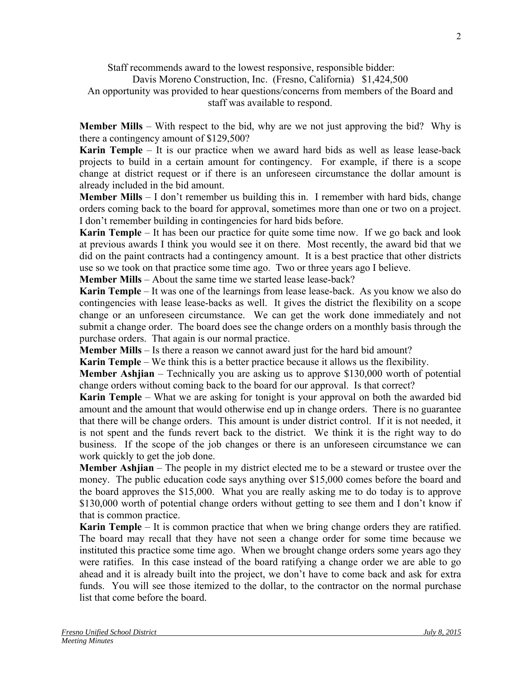Staff recommends award to the lowest responsive, responsible bidder:

Davis Moreno Construction, Inc. (Fresno, California) \$1,424,500

An opportunity was provided to hear questions/concerns from members of the Board and staff was available to respond.

**Member Mills** – With respect to the bid, why are we not just approving the bid? Why is there a contingency amount of \$129,500?

**Karin Temple** – It is our practice when we award hard bids as well as lease lease-back projects to build in a certain amount for contingency. For example, if there is a scope change at district request or if there is an unforeseen circumstance the dollar amount is already included in the bid amount.

**Member Mills** – I don't remember us building this in. I remember with hard bids, change orders coming back to the board for approval, sometimes more than one or two on a project. I don't remember building in contingencies for hard bids before.

**Karin Temple** – It has been our practice for quite some time now. If we go back and look at previous awards I think you would see it on there. Most recently, the award bid that we did on the paint contracts had a contingency amount. It is a best practice that other districts use so we took on that practice some time ago. Two or three years ago I believe.

**Member Mills** – About the same time we started lease lease-back?

**Karin Temple** – It was one of the learnings from lease lease-back. As you know we also do contingencies with lease lease-backs as well. It gives the district the flexibility on a scope change or an unforeseen circumstance. We can get the work done immediately and not submit a change order. The board does see the change orders on a monthly basis through the purchase orders. That again is our normal practice.

**Member Mills** – Is there a reason we cannot award just for the hard bid amount?

**Karin Temple** – We think this is a better practice because it allows us the flexibility.

**Member Ashjian** – Technically you are asking us to approve \$130,000 worth of potential change orders without coming back to the board for our approval. Is that correct?

**Karin Temple** – What we are asking for tonight is your approval on both the awarded bid amount and the amount that would otherwise end up in change orders. There is no guarantee that there will be change orders. This amount is under district control. If it is not needed, it is not spent and the funds revert back to the district. We think it is the right way to do business. If the scope of the job changes or there is an unforeseen circumstance we can work quickly to get the job done.

**Member Ashjian** – The people in my district elected me to be a steward or trustee over the money. The public education code says anything over \$15,000 comes before the board and the board approves the \$15,000. What you are really asking me to do today is to approve \$130,000 worth of potential change orders without getting to see them and I don't know if that is common practice.

**Karin Temple** – It is common practice that when we bring change orders they are ratified. The board may recall that they have not seen a change order for some time because we instituted this practice some time ago. When we brought change orders some years ago they were ratifies. In this case instead of the board ratifying a change order we are able to go ahead and it is already built into the project, we don't have to come back and ask for extra funds. You will see those itemized to the dollar, to the contractor on the normal purchase list that come before the board.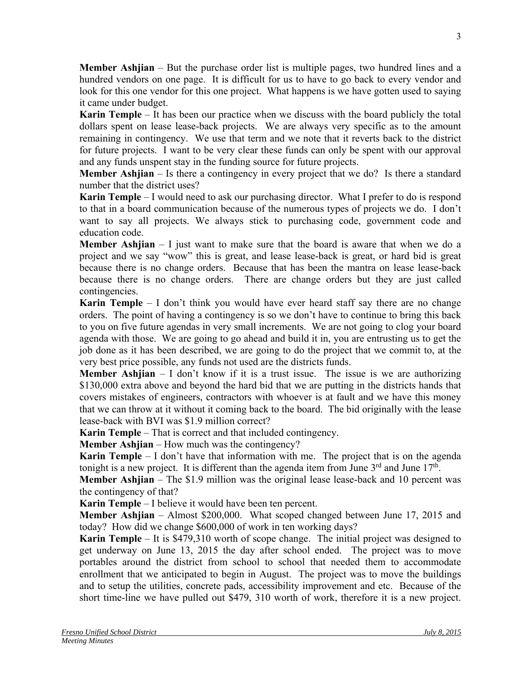**Member Ashjian** – But the purchase order list is multiple pages, two hundred lines and a hundred vendors on one page. It is difficult for us to have to go back to every vendor and look for this one vendor for this one project. What happens is we have gotten used to saying it came under budget.

**Karin Temple** – It has been our practice when we discuss with the board publicly the total dollars spent on lease lease-back projects. We are always very specific as to the amount remaining in contingency. We use that term and we note that it reverts back to the district for future projects. I want to be very clear these funds can only be spent with our approval and any funds unspent stay in the funding source for future projects.

**Member Ashjian** – Is there a contingency in every project that we do? Is there a standard number that the district uses?

**Karin Temple** – I would need to ask our purchasing director. What I prefer to do is respond to that in a board communication because of the numerous types of projects we do. I don't want to say all projects. We always stick to purchasing code, government code and education code.

**Member Ashjian** – I just want to make sure that the board is aware that when we do a project and we say "wow" this is great, and lease lease-back is great, or hard bid is great because there is no change orders. Because that has been the mantra on lease lease-back because there is no change orders. There are change orders but they are just called contingencies.

**Karin Temple** – I don't think you would have ever heard staff say there are no change orders. The point of having a contingency is so we don't have to continue to bring this back to you on five future agendas in very small increments. We are not going to clog your board agenda with those. We are going to go ahead and build it in, you are entrusting us to get the job done as it has been described, we are going to do the project that we commit to, at the very best price possible, any funds not used are the districts funds.

**Member Ashjian** – I don't know if it is a trust issue. The issue is we are authorizing \$130,000 extra above and beyond the hard bid that we are putting in the districts hands that covers mistakes of engineers, contractors with whoever is at fault and we have this money that we can throw at it without it coming back to the board. The bid originally with the lease lease-back with BVI was \$1.9 million correct?

**Karin Temple** – That is correct and that included contingency.

**Member Ashjian** – How much was the contingency?

**Karin Temple** – I don't have that information with me. The project that is on the agenda tonight is a new project. It is different than the agenda item from June  $3<sup>rd</sup>$  and June  $17<sup>th</sup>$ .

**Member Ashjian** – The \$1.9 million was the original lease lease-back and 10 percent was the contingency of that?

**Karin Temple** – I believe it would have been ten percent.

**Member Ashjian** – Almost \$200,000. What scoped changed between June 17, 2015 and today? How did we change \$600,000 of work in ten working days?

**Karin Temple** – It is \$479,310 worth of scope change. The initial project was designed to get underway on June 13, 2015 the day after school ended. The project was to move portables around the district from school to school that needed them to accommodate enrollment that we anticipated to begin in August. The project was to move the buildings and to setup the utilities, concrete pads, accessibility improvement and etc. Because of the short time-line we have pulled out \$479, 310 worth of work, therefore it is a new project.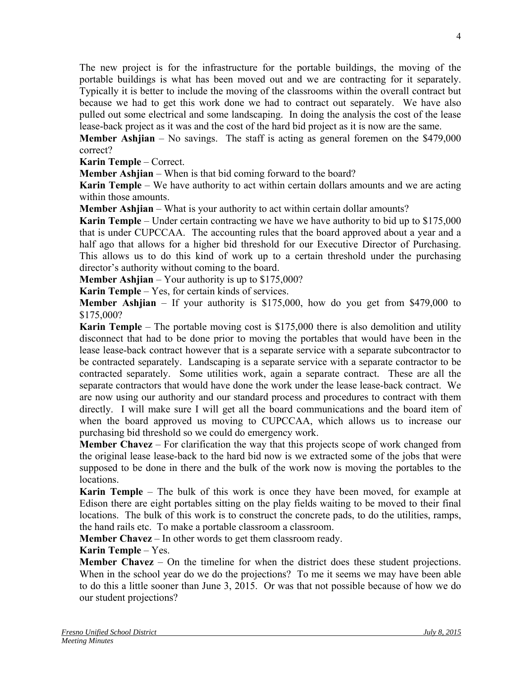The new project is for the infrastructure for the portable buildings, the moving of the portable buildings is what has been moved out and we are contracting for it separately. Typically it is better to include the moving of the classrooms within the overall contract but because we had to get this work done we had to contract out separately. We have also pulled out some electrical and some landscaping. In doing the analysis the cost of the lease lease-back project as it was and the cost of the hard bid project as it is now are the same.

**Member Ashjian** – No savings. The staff is acting as general foremen on the \$479,000 correct?

**Karin Temple** – Correct.

**Member Ashjian** – When is that bid coming forward to the board?

**Karin Temple** – We have authority to act within certain dollars amounts and we are acting within those amounts.

**Member Ashjian** – What is your authority to act within certain dollar amounts?

**Karin Temple** – Under certain contracting we have we have authority to bid up to \$175,000 that is under CUPCCAA. The accounting rules that the board approved about a year and a half ago that allows for a higher bid threshold for our Executive Director of Purchasing. This allows us to do this kind of work up to a certain threshold under the purchasing director's authority without coming to the board.

**Member Ashjian** – Your authority is up to \$175,000?

**Karin Temple** – Yes, for certain kinds of services.

**Member Ashjian** – If your authority is \$175,000, how do you get from \$479,000 to \$175,000?

**Karin Temple** – The portable moving cost is \$175,000 there is also demolition and utility disconnect that had to be done prior to moving the portables that would have been in the lease lease-back contract however that is a separate service with a separate subcontractor to be contracted separately. Landscaping is a separate service with a separate contractor to be contracted separately. Some utilities work, again a separate contract. These are all the separate contractors that would have done the work under the lease lease-back contract. We are now using our authority and our standard process and procedures to contract with them directly. I will make sure I will get all the board communications and the board item of when the board approved us moving to CUPCCAA, which allows us to increase our purchasing bid threshold so we could do emergency work.

**Member Chavez** – For clarification the way that this projects scope of work changed from the original lease lease-back to the hard bid now is we extracted some of the jobs that were supposed to be done in there and the bulk of the work now is moving the portables to the locations.

**Karin Temple** – The bulk of this work is once they have been moved, for example at Edison there are eight portables sitting on the play fields waiting to be moved to their final locations. The bulk of this work is to construct the concrete pads, to do the utilities, ramps, the hand rails etc. To make a portable classroom a classroom.

**Member Chavez** – In other words to get them classroom ready.

## **Karin Temple** – Yes.

**Member Chavez** – On the timeline for when the district does these student projections. When in the school year do we do the projections? To me it seems we may have been able to do this a little sooner than June 3, 2015. Or was that not possible because of how we do our student projections?

4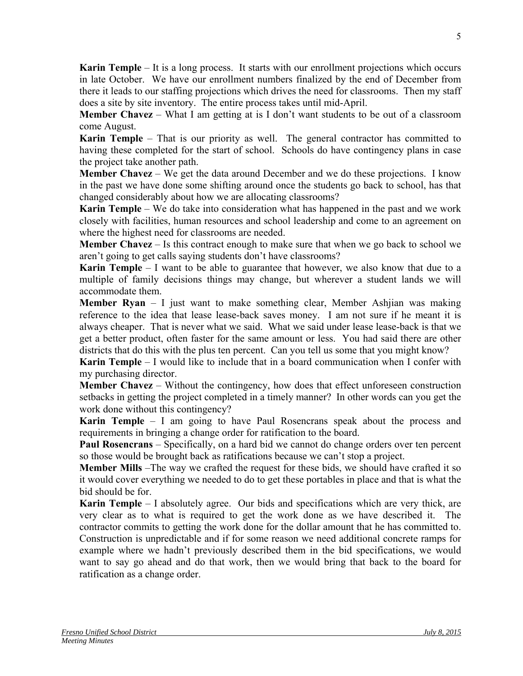**Karin Temple** – It is a long process. It starts with our enrollment projections which occurs in late October. We have our enrollment numbers finalized by the end of December from there it leads to our staffing projections which drives the need for classrooms. Then my staff does a site by site inventory. The entire process takes until mid-April.

**Member Chavez** – What I am getting at is I don't want students to be out of a classroom come August.

**Karin Temple** – That is our priority as well. The general contractor has committed to having these completed for the start of school. Schools do have contingency plans in case the project take another path.

**Member Chavez** – We get the data around December and we do these projections. I know in the past we have done some shifting around once the students go back to school, has that changed considerably about how we are allocating classrooms?

**Karin Temple** – We do take into consideration what has happened in the past and we work closely with facilities, human resources and school leadership and come to an agreement on where the highest need for classrooms are needed.

**Member Chavez** – Is this contract enough to make sure that when we go back to school we aren't going to get calls saying students don't have classrooms?

**Karin Temple** – I want to be able to guarantee that however, we also know that due to a multiple of family decisions things may change, but wherever a student lands we will accommodate them.

**Member Ryan** – I just want to make something clear, Member Ashjian was making reference to the idea that lease lease-back saves money. I am not sure if he meant it is always cheaper. That is never what we said. What we said under lease lease-back is that we get a better product, often faster for the same amount or less. You had said there are other districts that do this with the plus ten percent. Can you tell us some that you might know?

**Karin Temple** – I would like to include that in a board communication when I confer with my purchasing director.

**Member Chavez** – Without the contingency, how does that effect unforeseen construction setbacks in getting the project completed in a timely manner? In other words can you get the work done without this contingency?

**Karin Temple** – I am going to have Paul Rosencrans speak about the process and requirements in bringing a change order for ratification to the board.

**Paul Rosencrans** – Specifically, on a hard bid we cannot do change orders over ten percent so those would be brought back as ratifications because we can't stop a project.

**Member Mills** –The way we crafted the request for these bids, we should have crafted it so it would cover everything we needed to do to get these portables in place and that is what the bid should be for.

**Karin Temple** – I absolutely agree. Our bids and specifications which are very thick, are very clear as to what is required to get the work done as we have described it. The contractor commits to getting the work done for the dollar amount that he has committed to. Construction is unpredictable and if for some reason we need additional concrete ramps for example where we hadn't previously described them in the bid specifications, we would want to say go ahead and do that work, then we would bring that back to the board for ratification as a change order.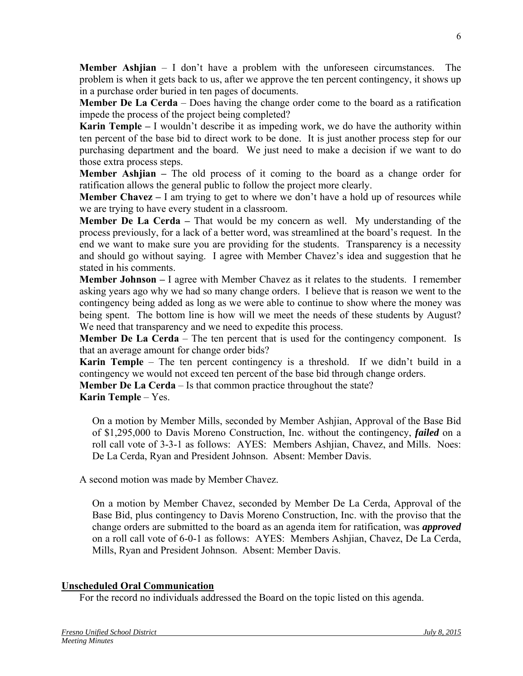**Member Ashjian** – I don't have a problem with the unforeseen circumstances. The problem is when it gets back to us, after we approve the ten percent contingency, it shows up in a purchase order buried in ten pages of documents.

**Member De La Cerda** – Does having the change order come to the board as a ratification impede the process of the project being completed?

**Karin Temple –** I wouldn't describe it as impeding work, we do have the authority within ten percent of the base bid to direct work to be done. It is just another process step for our purchasing department and the board. We just need to make a decision if we want to do those extra process steps.

**Member Ashjian –** The old process of it coming to the board as a change order for ratification allows the general public to follow the project more clearly.

**Member Chavez** – I am trying to get to where we don't have a hold up of resources while we are trying to have every student in a classroom.

**Member De La Cerda –** That would be my concern as well. My understanding of the process previously, for a lack of a better word, was streamlined at the board's request. In the end we want to make sure you are providing for the students. Transparency is a necessity and should go without saying. I agree with Member Chavez's idea and suggestion that he stated in his comments.

**Member Johnson –** I agree with Member Chavez as it relates to the students. I remember asking years ago why we had so many change orders. I believe that is reason we went to the contingency being added as long as we were able to continue to show where the money was being spent. The bottom line is how will we meet the needs of these students by August? We need that transparency and we need to expedite this process.

**Member De La Cerda** – The ten percent that is used for the contingency component. Is that an average amount for change order bids?

**Karin Temple** – The ten percent contingency is a threshold. If we didn't build in a contingency we would not exceed ten percent of the base bid through change orders.

**Member De La Cerda** – Is that common practice throughout the state?

**Karin Temple** – Yes.

On a motion by Member Mills, seconded by Member Ashjian, Approval of the Base Bid of \$1,295,000 to Davis Moreno Construction, Inc. without the contingency, *failed* on a roll call vote of 3-3-1 as follows: AYES: Members Ashjian, Chavez, and Mills. Noes: De La Cerda, Ryan and President Johnson. Absent: Member Davis.

A second motion was made by Member Chavez.

On a motion by Member Chavez, seconded by Member De La Cerda, Approval of the Base Bid, plus contingency to Davis Moreno Construction, Inc. with the proviso that the change orders are submitted to the board as an agenda item for ratification, was *approved* on a roll call vote of 6-0-1 as follows: AYES: Members Ashjian, Chavez, De La Cerda, Mills, Ryan and President Johnson. Absent: Member Davis.

## **Unscheduled Oral Communication**

For the record no individuals addressed the Board on the topic listed on this agenda.